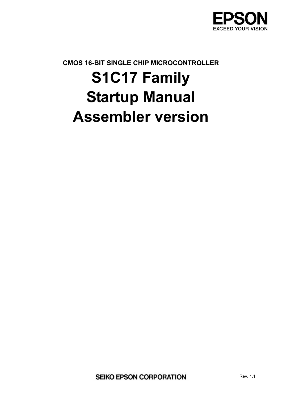

# **CMOS 16-BIT SINGLE CHIP MICROCONTROLLER S1C17 Family Startup Manual Assembler version**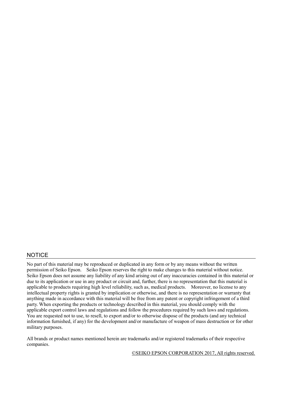### **NOTICE**

No part of this material may be reproduced or duplicated in any form or by any means without the written permission of Seiko Epson. Seiko Epson reserves the right to make changes to this material without notice. Seiko Epson does not assume any liability of any kind arising out of any inaccuracies contained in this material or due to its application or use in any product or circuit and, further, there is no representation that this material is applicable to products requiring high level reliability, such as, medical products. Moreover, no license to any intellectual property rights is granted by implication or otherwise, and there is no representation or warranty that anything made in accordance with this material will be free from any patent or copyright infringement of a third party. When exporting the products or technology described in this material, you should comply with the applicable export control laws and regulations and follow the procedures required by such laws and regulations. You are requested not to use, to resell, to export and/or to otherwise dispose of the products (and any technical information furnished, if any) for the development and/or manufacture of weapon of mass destruction or for other military purposes.

All brands or product names mentioned herein are trademarks and/or registered trademarks of their respective companies.

©SEIKO EPSON CORPORATION 2017, All rights reserved.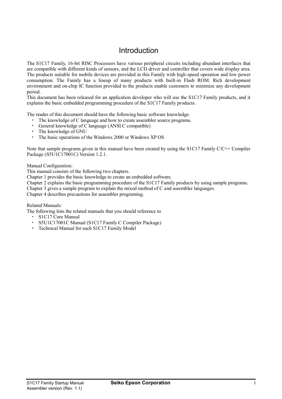## **Introduction**

The S1C17 Family, 16-bit RISC Processors have various peripheral circuits including abundant interfaces that are compatible with different kinds of sensors, and the LCD driver and controller that covers wide display area. The products suitable for mobile devices are provided in this Family with high-speed operation and low power consumption. The Family has a lineup of many products with built-in Flash ROM. Rich development environment and on-chip IC function provided to the products enable customers to minimize any development period.

This document has been released for an application developer who will use the S1C17 Family products, and it explains the basic embedded programming procedure of the S1C17 Family products.

The reader of this document should have the following basic software knowledge.

- The knowledge of C language and how to create assembler source programs.
- General knowledge of C language (ANSI C compatible)
- The knowledge of GNU
- The basic operations of the Windows 2000 or Windows XP OS

Note that sample programs given in this manual have been created by using the S1C17 Family C/C++ Compiler Package (S5U1C17001C) Version 1.2.1.

Manual Configuration:

This manual consists of the following two chapters.

Chapter 1 provides the basic knowledge to create an embedded software.

Chapter 2 explains the basic programming procedure of the S1C17 Family products by using sample programs.

Chapter 3 gives a sample program to explain the mixed method of C and assembler languages.

Chapter 4 describes precautions for assembler programing.

Related Manuals:

The following lists the related manuals that you should reference to

- S1C17 Core Manual
- S5U1C17001C Manual (S1C17 Family C Compiler Package)
- Technical Manual for each S1C17 Family Model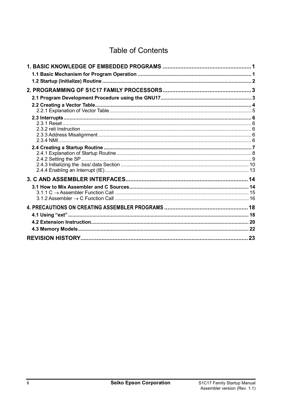## **Table of Contents**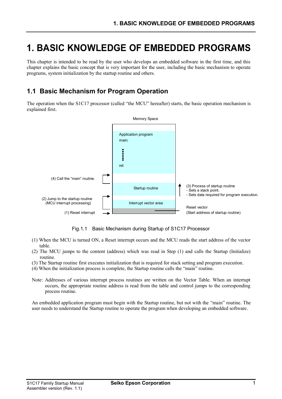## <span id="page-4-0"></span>**1. BASIC KNOWLEDGE OF EMBEDDED PROGRAMS**

This chapter is intended to be read by the user who develops an embedded software in the first time, and this chapter explains the basic concept that is very important for the user, including the basic mechanism to operate programs, system initialization by the startup routine and others.

## <span id="page-4-1"></span>**1.1 Basic Mechanism for Program Operation**

The operation when the S1C17 processor (called "the MCU" hereafter) starts, the basic operation mechanism is explained first.



Fig.1.1 Basic Mechanism during Startup of S1C17 Processor

- (1) When the MCU is turned ON, a Reset interrupt occurs and the MCU reads the start address of the vector table.
- (2) The MCU jumps to the content (address) which was read in Step (1) and calls the Startup (Initialize) routine.
- (3) The Startup routine first executes initialization that is required for stack setting and program execution.
- (4) When the initialization process is complete, the Startup routine calls the "main" routine.
- Note: Addresses of various interrupt process routines are written on the Vector Table. When an interrupt occurs, the appropriate routine address is read from the table and control jumps to the corresponding process routine.

An embedded application program must begin with the Startup routine, but not with the "main" routine. The user needs to understand the Startup routine to operate the program when developing an embedded software.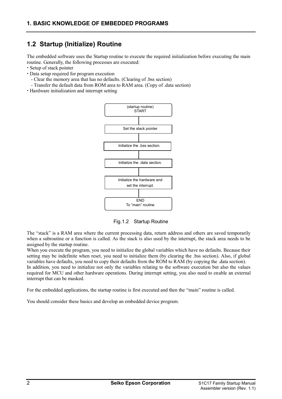## <span id="page-5-0"></span>**1.2 Startup (Initialize) Routine**

The embedded software uses the Startup routine to execute the required initialization before executing the main routine. Generally, the following processes are executed:

- Setup of stack pointer
- Data setup required for program execution
	- Clear the memory area that has no defaults. (Clearing of .bss section)
	- Transfer the default data from ROM area to RAM area. (Copy of .data section)
- Hardware initialization and interrupt setting



Fig.1.2 Startup Routine

The "stack" is a RAM area where the current processing data, return address and others are saved temporarily when a subroutine or a function is called. As the stack is also used by the interrupt, the stack area needs to be assigned by the startup routine.

When you execute the program, you need to initialize the global variables which have no defaults. Because their setting may be indefinite when reset, you need to initialize them (by clearing the .bss section). Also, if global variables have defaults, you need to copy their defaults from the ROM to RAM (by copying the .data section). In addition, you need to initialize not only the variables relating to the software execution but also the values required for MCU and other hardware operations. During interrupt setting, you also need to enable an external interrupt that can be masked.

For the embedded applications, the startup routine is first executed and then the "main" routine is called.

You should consider these basics and develop an embedded device program.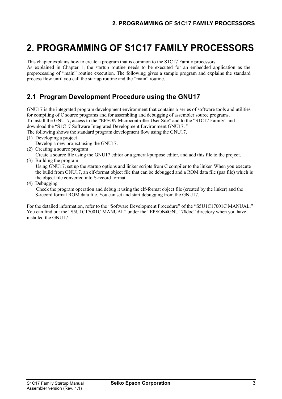## <span id="page-6-0"></span>**2. PROGRAMMING OF S1C17 FAMILY PROCESSORS**

This chapter explains how to create a program that is common to the S1C17 Family processors.

As explained in Chapter 1, the startup routine needs to be executed for an embedded application as the preprocessing of "main" routine execution. The following gives a sample program and explains the standard process flow until you call the startup routine and the "main" routine.

## <span id="page-6-1"></span>**2.1 Program Development Procedure using the GNU17**

GNU17 is the integrated program development environment that contains a series of software tools and utilities for compiling of C source programs and for assembling and debugging of assembler source programs. To install the GNU17, access to the "EPSON Microcontroller User Site" and to the "S1C17 Family" and download the "S1C17 Software Integrated Development Environment GNU17. "

The following shows the standard program development flow using the GNU17.

- (1) Developing a project
	- Develop a new project using the GNU17.
- (2) Creating a source program
- Create a source file using the GNU17 editor or a general-purpose editor, and add this file to the project. (3) Building the program

Using GNU17, set up the startup options and linker scripts from C compiler to the linker. When you execute the build from GNU17, an elf-format object file that can be debugged and a ROM data file (psa file) which is the object file converted into S-record format.

(4) Debugging

Check the program operation and debug it using the elf-format object file (created by the linker) and the S-record format ROM data file. You can set and start debugging from the GNU17.

For the detailed information, refer to the "Software Development Procedure" of the "S5U1C17001C MANUAL." You can find out the "S5U1C17001C MANUAL" under the "EPSON¥GNU17¥doc" directory when you have installed the GNU17.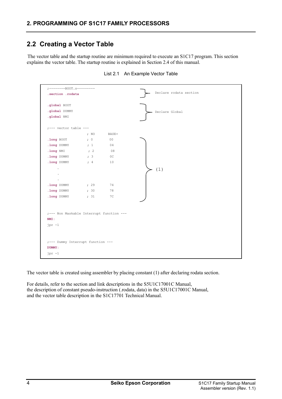## <span id="page-7-0"></span>**2.2 Creating a Vector Table**

The vector table and the startup routine are minimum required to execute an S1C17 program. This section explains the vector table. The startup routine is explained in Section 2.4 of this manual.

| ;--------BOOT.s---------                          |           |       |                        |
|---------------------------------------------------|-----------|-------|------------------------|
| .section .rodata                                  |           |       | Declare rodata section |
|                                                   |           |       |                        |
| .global BOOT                                      |           |       |                        |
| .global DUMMY                                     |           |       | Declare Global         |
| .global NMI                                       |           |       |                        |
|                                                   |           |       |                        |
| $:---$ vector table ---                           |           |       |                        |
|                                                   | $\,$ ; NO | BASE+ |                        |
| $1$ ong BOOT $\qquad \qquad ; \qquad 0$           |           | 00    |                        |
| . Long DUMMY $\qquad \qquad ; 1 \qquad \qquad 04$ |           |       |                        |
| . $long$ NMI $; 2$                                |           | 08    |                        |
| .long DUMMY ; 3 0C                                |           |       |                        |
| .long DUMMY ; 4                                   |           | 10    |                        |
| $\bullet$                                         |           |       | (1)                    |
|                                                   |           |       |                        |
|                                                   |           |       |                        |
| .long DUMMY ; 29                                  |           | 74    |                        |
| .long DUMMY ; 30                                  |           | 78    |                        |
| .long DUMMY ; 31                                  |           | 7C    |                        |
|                                                   |           |       |                        |
|                                                   |           |       |                        |
| ;--- Non Maskable Interrupt function ---          |           |       |                        |
| NMI:                                              |           |       |                        |
| $ipr - 1$                                         |           |       |                        |
|                                                   |           |       |                        |
|                                                   |           |       |                        |
| ;--- Dummy Interrupt function ---                 |           |       |                        |
| <b>DUMMY:</b>                                     |           |       |                        |
| $jpr -1$                                          |           |       |                        |

List 2.1 An Example Vector Table

The vector table is created using assembler by placing constant (1) after declaring rodata section.

For details, refer to the section and link descriptions in the S5U1C17001C Manual, the description of constant pseudo-instruction (.rodata, data) in the S5U1C17001C Manual, and the vector table description in the S1C17701 Technical Manual.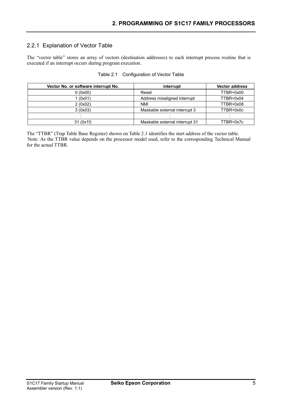## <span id="page-8-0"></span>2.2.1 Explanation of Vector Table

The "vector table" stores an array of vectors (destination addresses) to each interrupt process routine that is executed if an interrupt occurs during program execution.

| Vector No. or software interrupt No. | interrupt                      | <b>Vector address</b> |
|--------------------------------------|--------------------------------|-----------------------|
| 0(0x00)                              | Reset                          | TTBR+0x00             |
| 1 (0x01)                             | Address misaligned interrupt   | TTBR+0x04             |
| 2(0x02)                              | NMI                            | TTBR+0x08             |
| 3(0x03)                              | Maskable external interrupt 3  | TTBR+0x0c             |
|                                      |                                |                       |
| 31 (0x1f)                            | Maskable external interrupt 31 | TTBR+0x7c             |

|  | Table 2.1 Configuration of Vector Table |
|--|-----------------------------------------|
|  |                                         |

The "TTBR" (Trap Table Base Register) shown on Table 2.1 identifies the start address of the vector table. Note: As the TTBR value depends on the processor model used, refer to the corresponding Technical Manual for the actual TTBR.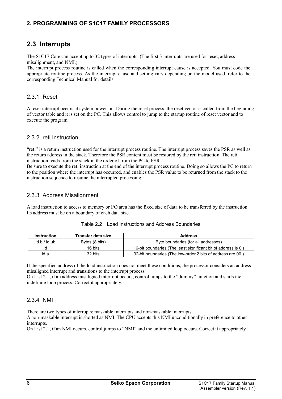## <span id="page-9-0"></span>**2.3 Interrupts**

The S1C17 Core can accept up to 32 types of interrupts. (The first 3 interrupts are used for reset, address misalignment, and NMI.)

The interrupt process routine is called when the corresponding interrupt cause is accepted. You must code the appropriate routine process. As the interrupt cause and setting vary depending on the model used, refer to the corresponding Technical Manual for details.

### <span id="page-9-1"></span>2.3.1 Reset

A reset interrupt occurs at system power-on. During the reset process, the reset vector is called from the beginning of vector table and it is set on the PC. This allows control to jump to the startup routine of reset vector and to execute the program.

### <span id="page-9-2"></span>2.3.2 reti Instruction

"reti" is a return instruction used for the interrupt process routine. The interrupt process saves the PSR as well as the return address in the stack. Therefore the PSR content must be restored by the reti instruction. The reti instruction reads from the stack in the order of from the PC to PSR.

Be sure to execute the reti instruction at the end of the interrupt process routine. Doing so allows the PC to return to the position where the interrupt has occurred, and enables the PSR value to be returned from the stack to the instruction sequence to resume the interrupted processing.

### <span id="page-9-3"></span>2.3.3 Address Misalignment

A load instruction to access to memory or I/O area has the fixed size of data to be transferred by the instruction. Its address must be on a boundary of each data size.

| <b>Instruction</b> | Transfer data size | <b>Address</b>                                                 |
|--------------------|--------------------|----------------------------------------------------------------|
| Id.b / Id.ub       | Bytes (8 bits)     | Byte boundaries (for all addresses)                            |
| ld                 | 16 bits            | 16-bit boundaries (The least significant bit of address is 0.) |
| ld.a               | 32 bits            | 32-bit boundaries (The low-order 2 bits of address are 00.)    |

Table 2.2 Load Instructions and Address Boundaries

If the specified address of the load instruction does not meet these conditions, the processor considers an address misaligned interrupt and transitions to the interrupt process.

On List 2.1, if an address misaligned interrupt occurs, control jumps to the "dummy" function and starts the indefinite loop process. Correct it appropriately.

## <span id="page-9-4"></span>2.3.4 NMI

There are two types of interrupts: maskable interrupts and non-maskable interrupts.

A non-maskable interrupt is shorted as NMI. The CPU accepts this NMI unconditionally in preference to other interrupts.

On List 2.1, if an NMI occurs, control jumps to "NMI" and the unlimited loop occurs. Correct it appropriately.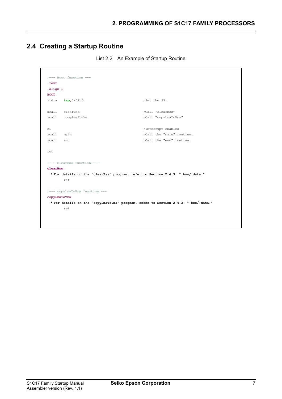## <span id="page-10-0"></span>**2.4 Creating a Startup Routine**

List 2.2 An Example of Startup Routine

```
;--- Boot function ---
.text
.align 1
BOOT:
xld.a \texttt{\$sp,0x0fc0} ;Set the SP.
xcall clearBss ;Call "clearBss"
xcall copyLmaToVma ;Call "copyLmaToVma"
ei ;Interrupt enabled
xcall main ; Call the "main" routine.
xcall end ;Call the "end" routine.
ret
;--- ClearBss function ---
clearBss:
 * For details on the "clearBss" program, refer to Section 2.4.3, ".bss/.data."
     ret
;--- copyLmaToVma function ---
copyLmaToVma:
 * For details on the "copyLmaToVma" program, refer to Section 2.4.3, ".bss/.data."
     ret
```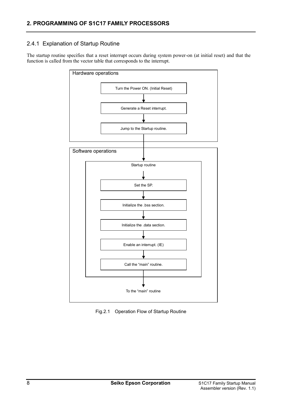## <span id="page-11-0"></span>2.4.1 Explanation of Startup Routine

The startup routine specifies that a reset interrupt occurs during system power-on (at initial reset) and that the function is called from the vector table that corresponds to the interrupt.



Fig.2.1 Operation Flow of Startup Routine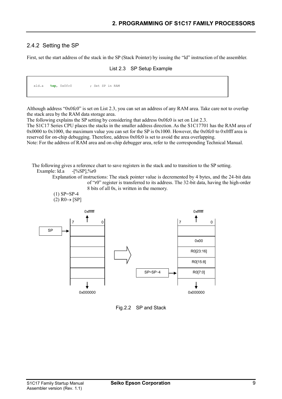## <span id="page-12-0"></span>2.4.2 Setting the SP

First, set the start address of the stack in the SP (Stack Pointer) by issuing the "ld" instruction of the assembler.

List 2.3 SP Setup Example

xld.a **%sp**, 0x0fc0 ; Set SP in RAM

Although address "0x0fc0" is set on List 2.3, you can set an address of any RAM area. Take care not to overlap the stack area by the RAM data storage area.

The following explains the SP setting by considering that address 0x0fc0 is set on List 2.3.

The S1C17 Series CPU places the stacks in the smaller address direction. As the S1C17701 has the RAM area of 0x0000 to 0x1000, the maximum value you can set for the SP is 0x1000. However, the 0x0fc0 to 0x0fff area is reserved for on-chip debugging. Therefore, address 0x0fc0 is set to avoid the area overlapping.

Note: For the address of RAM area and on-chip debugger area, refer to the corresponding Technical Manual.

The following gives a reference chart to save registers in the stack and to transition to the SP setting. Example:  $\text{Id}.a$  -[%SP],%r0

> Explanation of instructions: The stack pointer value is decremented by 4 bytes, and the 24-bit data of "r0" register is transferred to its address. The 32-bit data, having the high-order 8 bits of all 0s, is written in the memory.



Fig.2.2 SP and Stack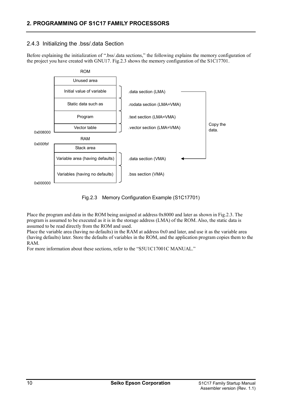## <span id="page-13-0"></span>2.4.3 Initializing the .bss/.data Section

Before explaining the initialization of ".bss/.data sections," the following explains the memory configuration of the project you have created with GNU17. Fig.2.3 shows the memory configuration of the S1C17701.



Fig.2.3 Memory Configuration Example (S1C17701)

Place the program and data in the ROM being assigned at address 0x8000 and later as shown in Fig.2.3. The program is assumed to be executed as it is in the storage address (LMA) of the ROM. Also, the static data is assumed to be read directly from the ROM and used.

Place the variable area (having no defaults) in the RAM at address 0x0 and later, and use it as the variable area (having defaults) later. Store the defaults of variables in the ROM, and the application program copies them to the RAM.

For more information about these sections, refer to the "S5U1C17001C MANUAL."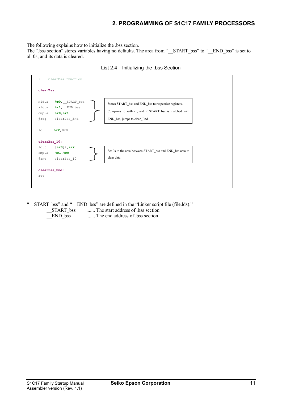The following explains how to initialize the .bss section.

The ".bss section" stores variables having no defaults. The area from "\_\_START\_bss" to "\_\_END\_bss" is set to all 0s, and its data is cleared.

|                                 | ;--- ClearBss function ---                                 |                                                                                                                                                |  |
|---------------------------------|------------------------------------------------------------|------------------------------------------------------------------------------------------------------------------------------------------------|--|
| clearBss:                       |                                                            |                                                                                                                                                |  |
| xld.a<br>xld.a<br>cmp.a<br>jreq | %r0, START bss<br>%r1, END bss<br>8r0, 8r1<br>clearBss End | Stores START bss and END bss to respective registers.<br>Compares r0 with r1, and if START bss is matched with<br>END bss, jumps to clear End. |  |
| ld                              | 8r2,0x0                                                    |                                                                                                                                                |  |
| clearBss 10:                    |                                                            |                                                                                                                                                |  |
| ld.b<br>cmp.a<br>jrne           | $[8r0]+,8r2$<br>8r1,8r0<br>clearBss 10                     | Set 0s to the area between START_bss and END_bss area to<br>clear data.                                                                        |  |
| ret                             | clearBss End:                                              |                                                                                                                                                |  |



"\_\_START\_bss" and "\_\_END\_bss" are defined in the "Linker script file (file.lds)."

*\_\_*START\_bss ....... The start address of .bss section

END bss ....... The end address of .bss section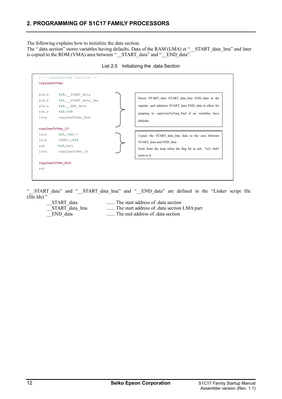The following explains how to initialize the data section.

The ".data section" stores variables having defaults. Data of the RAM (LMA) at "\_\_START\_data\_lma" and later is copied to the ROM (VMA) area between "\_\_START\_data" and "\_\_END\_data".

|               | ;--- copyLmaToVma function ---    |                                                                    |
|---------------|-----------------------------------|--------------------------------------------------------------------|
| copyLmaToVma: |                                   |                                                                    |
|               |                                   |                                                                    |
| xld.a         | %r0, START data                   |                                                                    |
| xld.a         | %r1, START data lma               | Stores START data START data lma END data in the                   |
| xld.a         | %r2, END data                     | register, and subtracts START data END data to allow for           |
| sub.a         | $8r2,$ $8r0$                      | jumping to copyLmaToVma End if no variables have                   |
| jreq          | copyLmaToVma End                  |                                                                    |
|               |                                   | defaults.                                                          |
|               | copyLmaToVma 10:                  |                                                                    |
| ld.b          | $\frac{1}{2}$ ( $\frac{1}{2}$ ) + | Copies the START data lma data to the area between                 |
| ld.b          | $[8r0]+, 8r3$                     | START data and END data.                                           |
| sub           | %r2,0x01                          |                                                                    |
| jrne          | copyLmaToVma 10                   | Exits from the loop when the flag bit in sub $\frac{6}{12}$ , 0x01 |
|               |                                   | turns to $0$ .                                                     |
|               | copyLmaToVma End:                 |                                                                    |
| ret           |                                   |                                                                    |

List 2.5 Initializing the .data Section

"\_\_START\_data" and "\_\_START\_data\_lma" and "\_\_END\_data" are defined in the "Linker script file (file.lds)."

START\_data ........ The start address of .data section<br>
START data lma ........ The start address of .data section ....... The start address of .data section LMA part END data ........ The end address of .data section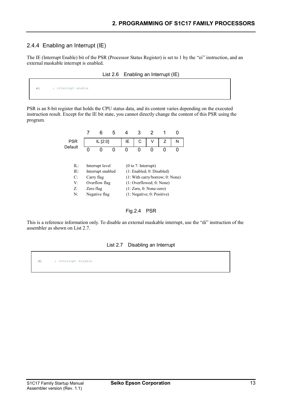## <span id="page-16-0"></span>2.4.4 Enabling an Interrupt (IE)

The IE (Interrupt Enable) bit of the PSR (Processor Status Register) is set to 1 by the "ei" instruction, and an external maskable interrupt is enabled.

|  |  | List 2.6 Enabling an Interrupt (IE) |
|--|--|-------------------------------------|
|--|--|-------------------------------------|

PSR is an 8-bit register that holds the CPU status data, and its content varies depending on the executed instruction result. Except for the IE bit state, you cannot directly change the content of this PSR using the program.

|            |                   | ĥ               | h |    | 3                                         |                            |                                 |   |
|------------|-------------------|-----------------|---|----|-------------------------------------------|----------------------------|---------------------------------|---|
| <b>PSR</b> | IL [2:0]          |                 |   | IE | С                                         | V                          | Ζ                               | N |
| Default    |                   |                 |   | U  | n                                         | Ω                          |                                 |   |
|            |                   |                 |   |    |                                           |                            |                                 |   |
| Π÷         |                   | Interrupt level |   |    | $(0 to 7:$ Interrupt)                     |                            |                                 |   |
| IE:        | Interrupt enabled |                 |   |    | $(1: \text{Enabled}; 0: \text{Disabled})$ |                            |                                 |   |
| C:         |                   | Carry flag      |   |    |                                           |                            | (1: With carry/borrow; 0: None) |   |
| V          |                   | Overflow flag   |   |    |                                           | (1: Overflowed; 0: None)   |                                 |   |
| $Z$ :      |                   | Zero flag       |   |    |                                           | $(1: Zero, 0: None-zero)$  |                                 |   |
| N:         |                   | Negative flag   |   |    |                                           | (1: Negative; 0: Positive) |                                 |   |



This is a reference information only. To disable an external maskable interrupt, use the "di" instruction of the assembler as shown on List 2.7.

### List 2.7 Disabling an Interrupt

di ; interrupt disable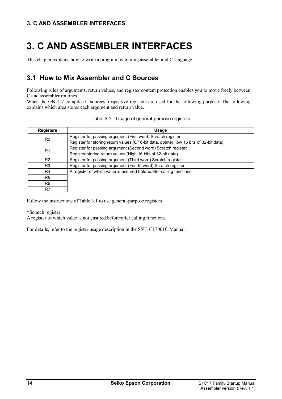## <span id="page-17-0"></span>**3. C AND ASSEMBLER INTERFACES**

This chapter explains how to write a program by mixing assembler and C language.

## <span id="page-17-1"></span>**3.1 How to Mix Assembler and C Sources**

Following rules of arguments, return values, and register content protection enables you to move freely between C and assembler routines.

When the GNU17 compiles C sources, respective registers are used for the following purpose. The following explains which area stores each argument and return value.

| <b>Registers</b> | <b>Usage</b>                                                                            |
|------------------|-----------------------------------------------------------------------------------------|
| R <sub>0</sub>   | Register for passing argument (First word) Scratch register                             |
|                  | Register for storing return values (8/16-bit data, pointer, low 16 bits of 32-bit data) |
| R <sub>1</sub>   | Register for passing argument (Second word) Scratch register                            |
|                  | Register storing return values (High 16 bits of 32-bit data)                            |
| R <sub>2</sub>   | Register for passing argument (Third word) Scratch register                             |
| R <sub>3</sub>   | Register for passing argument (Fourth word) Scratch register                            |
| R4               | A register of which value is ensured before/after calling functions.                    |
| R <sub>5</sub>   |                                                                                         |
| R <sub>6</sub>   |                                                                                         |
| R7               |                                                                                         |

|  | Table 3.1 Usage of general-purpose registers |
|--|----------------------------------------------|
|--|----------------------------------------------|

Follow the instructions of Table 3.1 to use general-purpose registers

\*Scratch register

A register of which value is not ensured before/after calling functions.

For details, refer to the register usage description in the S5U1C17001C Manual.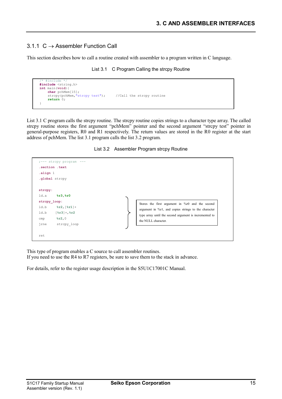### <span id="page-18-0"></span>3.1.1  $C \rightarrow$  Assembler Function Call

This section describes how to call a routine created with assembler to a program written in C language.

List 3.1 C Program Calling the strcpy Routine

```
\#include
#include <string.h>
int main(void){
    char pchMem<sup>[15]</sup>;
    strcpy(pchMem,"strcpy test"); //Call the strcpy routine
     return 0;
}
```
List 3.1 C program calls the strcpy routine. The strcpy routine copies strings to a character type array. The called strcpy routine stores the first argument "pchMem" pointer and the second argument "strcpy test" pointer in general-purpose registers, R0 and R1 respectively. The return values are stored in the R0 register at the start address of pchMem. The list 3.1 program calls the list 3.2 program.

List 3.2 Assembler Program strcpy Routine



This type of program enables a C source to call assembler routines. If you need to use the R4 to R7 registers, be sure to save them to the stack in advance.

For details, refer to the register usage description in the S5U1C17001C Manual.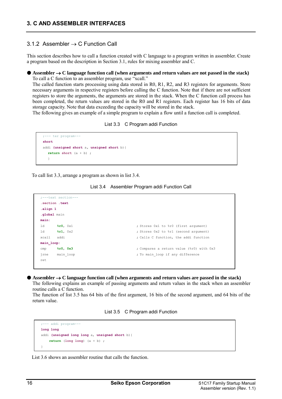### <span id="page-19-0"></span>3.1.2 Assembler  $\rightarrow$  C Function Call

This section describes how to call a function created with C language to a program written in assembler. Create a program based on the description in Section 3.1, rules for mixing assembler and C.

#### $\bullet$  Assembler  $\rightarrow$  C language function call (when arguments and return values are not passed in the stack) To call a C function to an assembler program, use "xcall."

The called function starts processing using data stored in R0, R1, R2, and R3 registers for arguments. Store necessary arguments in respective registers before calling the C function. Note that if there are not sufficient registers to store the arguments, the arguments are stored in the stack. When the C function call process has been completed, the return values are stored in the R0 and R1 registers. Each register has 16 bits of data storage capacity. Note that data exceeding the capacity will be stored in the stack.

The following gives an example of a simple program to explain a flow until a function call is completed.

List 3.3 C Program addi Function

```
;--- ter program---
short
addi (unsigned short a, unsigned short b){
  return short (a + b) ;
  }
```
To call list 3.3, arrange a program as shown in list 3.4.

| List $3.4$ |  | Assembler Program addi Function Call |  |  |
|------------|--|--------------------------------------|--|--|
|------------|--|--------------------------------------|--|--|

```
;---text section---
.section .text
.align 1
.global main
main:
ld \text{*r0}, 0x1 ; Stores 0x1 to \text{*r0} (first argument)
ld \textbf{8r1}, 0x2 ; Stores 0x2 to \textbf{8r1} (second argument)
xcall addi ; Calls C function, the addi function
main_loop:
cmp %r0, 0x3 ; Compares a return value (%r0) with 0x3
jrne main loop \qquad \qquad ; To main loop if any difference
ret
```
**Assembler**  $\rightarrow$  **C language function call (when arguments and return values are passed in the stack)** 

The following explains an example of passing arguments and return values in the stack when an assembler routine calls a C function.

The function of list 3.5 has 64 bits of the first argument, 16 bits of the second argument, and 64 bits of the return value.

| List 3.5 | C Program addi Function |  |  |
|----------|-------------------------|--|--|
|----------|-------------------------|--|--|

```
;--- addi program---
long long
addi (unsigned long long a, unsigned short b){
     return (long long) (a + b) ; 
}
```
List 3.6 shows an assembler routine that calls the function.

 $\overline{1}$  $\overline{\phantom{a}}$  $\overline{\phantom{a}}$  $\overline{\phantom{a}}$  $\overline{\phantom{a}}$  $\overline{\phantom{a}}$  $\overline{\phantom{a}}$  $\overline{\phantom{a}}$  $\overline{\phantom{a}}$  $\overline{\phantom{a}}$  $\overline{\phantom{a}}$  $\overline{\phantom{a}}$  $\overline{\phantom{a}}$  $\overline{\phantom{a}}$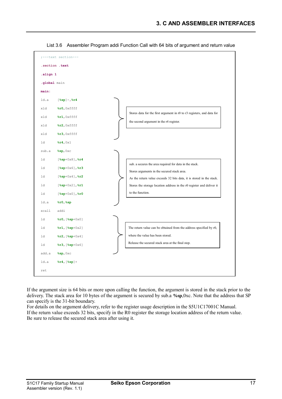

List 3.6 Assembler Program addi Function Call with 64 bits of argument and return value

If the argument size is 64 bits or more upon calling the function, the argument is stored in the stack prior to the delivery. The stack area for 10 bytes of the argument is secured by sub.a **%sp**,0xc. Note that the address that SP can specify is the 31-bit boundary.

For details on the argument delivery, refer to the register usage description in the S5U1C17001C Manual. If the return value exceeds 32 bits, specify in the R0 register the storage location address of the return value. Be sure to release the secured stack area after using it.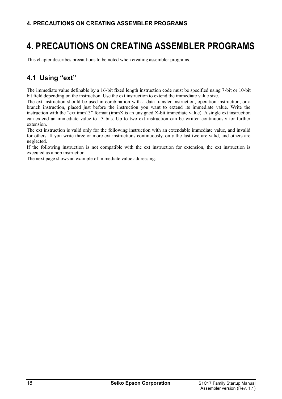## <span id="page-21-0"></span>**4. PRECAUTIONS ON CREATING ASSEMBLER PROGRAMS**

This chapter describes precautions to be noted when creating assembler programs.

## <span id="page-21-1"></span>**4.1 Using "ext"**

The immediate value definable by a 16-bit fixed length instruction code must be specified using 7-bit or 10-bit bit field depending on the instruction. Use the ext instruction to extend the immediate value size.

The ext instruction should be used in combination with a data transfer instruction, operation instruction, or a branch instruction, placed just before the instruction you want to extend its immediate value. Write the instruction with the "ext imm13" format (immX is an unsigned X-bit immediate value). A single ext instruction can extend an immediate value to 13 bits. Up to two ext instruction can be written continuously for further extension.

The ext instruction is valid only for the following instruction with an extendable immediate value, and invalid for others. If you write three or more ext instructions continuously, only the last two are valid, and others are neglected.

If the following instruction is not compatible with the ext instruction for extension, the ext instruction is executed as a nop instruction.

The next page shows an example of immediate value addressing.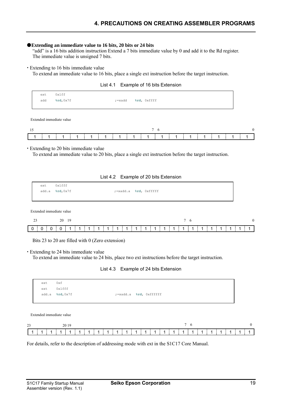### **Extending an immediate value to 16 bits, 20 bits or 24 bits**

"add" is a 16 bits addition instruction Extend a 7 bits immediate value by 0 and add it to the Rd register. The immediate value is unsigned 7 bits.

Extending to 16 bits immediate value

To extend an immediate value to 16 bits, place a single ext instruction before the target instruction.

| ext | Oxlff                                |            |             |
|-----|--------------------------------------|------------|-------------|
| add | $\texttt{kd}, 0 \text{x} 7 \text{f}$ | $; = xadd$ | %rd, Oxffff |
|     |                                      |            |             |

Extended immediate value

Extending to 20 bits immediate value

To extend an immediate value to 20 bits, place a single ext instruction before the target instruction.

### List 4.2 Example of 20 bits Extension

| ext | 0x1fff          |                       |  |
|-----|-----------------|-----------------------|--|
|     | add.a %rd, 0x7f | ;=xadd.a %rd, 0xfffff |  |
|     |                 |                       |  |

Extended immediate value

|                                       |  | 20 19 |  |  |  |  |  |  |  |  |  |  |
|---------------------------------------|--|-------|--|--|--|--|--|--|--|--|--|--|
| 0000111111111111111111111111111111111 |  |       |  |  |  |  |  |  |  |  |  |  |

Bits 23 to 20 are filled with 0 (Zero extension)

Extending to 24 bits immediate value

To extend an immediate value to 24 bits, place two ext instructions before the target instruction.

List 4.3 Example of 24 bits Extension

| ext | 0xf             |                        |  |
|-----|-----------------|------------------------|--|
| ext | Oxlfff          |                        |  |
|     | add.a %rd, 0x7f | ;=xadd.a %rd, 0xffffff |  |
|     |                 |                        |  |

Extended immediate value

| 23 |                |                                |  |               |          |                |                                  |
|----|----------------|--------------------------------|--|---------------|----------|----------------|----------------------------------|
|    | $\overline{1}$ | $\cdot$ 1<br>$\vert$ 1 $\vert$ |  | 1111111111111 | 11111111 | $\blacksquare$ | $\overline{1}$<br>$\blacksquare$ |

For details, refer to the description of addressing mode with ext in the S1C17 Core Manual.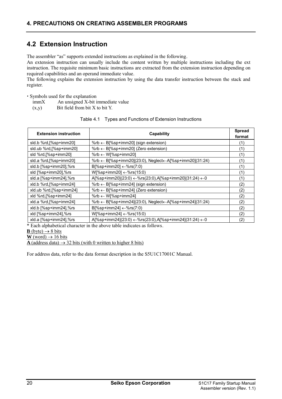## <span id="page-23-0"></span>**4.2 Extension Instruction**

The assembler "as" supports extended instructions as explained in the following.

An extension instruction can usually include the content written by multiple instructions including the ext instruction. The requisite minimum basic instructions are extracted from the extension instruction depending on required capabilities and an operand immediate value.

The following explains the extension instruction by using the data transfer instruction between the stack and register.

Symbols used for the explanation

- immX An unsigned X-bit immediate value
- $(x,y)$  Bit field from bit X to bit Y.

| <b>Extension instruction</b> | Capability                                                                                               | <b>Spread</b><br>format |
|------------------------------|----------------------------------------------------------------------------------------------------------|-------------------------|
| sld.b %rd,[%sp+imm20]        | %rb $\leftarrow$ B[%sp+imm20] (sign extension)                                                           | (1)                     |
| sld.ub %rd,[%sp+imm20]       | %rb $\leftarrow$ B[%sp+imm20] (Zero extension)                                                           | (1)                     |
| sld %rd, [%sp+imm20]         | %rb $\leftarrow$ W[%sp+imm20]                                                                            | (1)                     |
| sld.a %rd, [%sp+imm20]       | %rb ← B[%sp+imm20](23:0), Neglect←A[%sp+imm20](31:24)                                                    | (1)                     |
| sld.b [%sp+imm20],%rs        | $B[\%sp+imm20] \leftarrow \%rs(7:0)$                                                                     | (1)                     |
| sld [%sp+imm20],%rs          | W[%sp+imm20] $\leftarrow$ %rs(15:0)                                                                      | (1)                     |
| sld.a [%sp+imm24],%rs        | A[%sp+imm20](23:0) $\leftarrow$ %rs(23:0),A[%sp+imm20](31:24) $\leftarrow$ 0                             | (1)                     |
| xld.b %rd,[%sp+imm24]        | %rb $\leftarrow$ B[%sp+imm24] (sign extension)                                                           | (2)                     |
| xld.ub %rd,[%sp+imm24]       | %rb ← B[%sp+imm24] (Zero extension)                                                                      | (2)                     |
| xld %rd, [%sp+imm24]         | %rb $\leftarrow$ W[%sp+imm24]                                                                            | (2)                     |
| xld.a %rd, [%sp+imm24]       | %rb ← B[%sp+imm24](23:0), Neglect←A[%sp+imm24](31:24)                                                    | (2)                     |
| xld.b [%sp+imm24],%rs        | $B$ [%sp+imm24] $\leftarrow$ %rs(7:0)                                                                    | (2)                     |
| xld [%sp+imm24],%rs          | W[%sp+imm24] $\leftarrow$ %rs(15:0)                                                                      | (2)                     |
| xld.a [%sp+imm24],%rs<br>.   | A[%sp+imm24](23:0) $\leftarrow$ %rs(23:0),A[%sp+imm24](31:24) $\leftarrow$ 0<br>$-1$ $-1$ $-1$ $-1$ $-1$ | (2)                     |

\* Each alphabetical character in the above table indicates as follows.

**B** (byte)  $\rightarrow$  8 bits

 $\overline{\text{W}(\text{word})} \rightarrow 16 \text{ bits}$ 

**A** (address data)  $\rightarrow$  32 bits (with 0 written to higher 8 bits)

For address data, refer to the data format description in the S5U1C17001C Manual.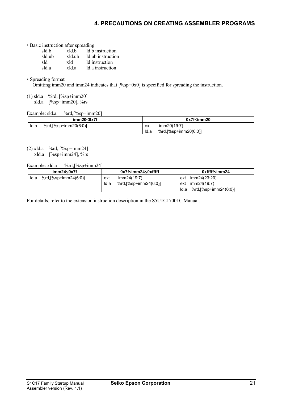• Basic instruction after spreading

| sld.b  | xld.b  | ld.b instruction  |
|--------|--------|-------------------|
| sld.ub | xld.ub | ld.ub instruction |
| sld    | xld    | ld instruction    |
| sld.a  | xld a  | ld.a instruction  |
|        |        |                   |

Spreading format

Omitting imm20 and imm24 indicates that [%sp+0x0] is specified for spreading the instruction.

(1) sld.a %rd,  $[\%sp+imm20]$ sld.a  $[\%sp+imm20]$ ,  $\%rs$ 

Example:  $sld.a$  %rd, [%sp+imm20]

| imm20 $\leq$ 0x7f |                      | 0x7f <imm20< th=""></imm20<> |                      |  |
|-------------------|----------------------|------------------------------|----------------------|--|
| Id.a              | %rd,[%sp+imm20(6:0)] | ext                          | imm20(19:7)          |  |
|                   |                      | Id.a                         | %rd.[%sp+imm20(6:0)] |  |

(2) xld.a %rd,  $[\%sp+imm24]$ xld.a [%sp+imm24], %rs

Example: xld.a %rd,[%sp+imm24]

| imm24≤0x7f |                         | $0x7fsimm2450xffff$ |                      |      | 0xfffff <imm24< th=""></imm24<> |  |  |
|------------|-------------------------|---------------------|----------------------|------|---------------------------------|--|--|
| ld.a       | %rd, $[%sp+imm24(6:0)]$ | ext                 | imm24(19:7)          | ext  | imm24(23:20)                    |  |  |
|            |                         | Id.a                | %rd.[%sp+imm24(6:0)] | ext  | imm24(19:7)                     |  |  |
|            |                         |                     |                      | ld.a | %rd,[%sp+imm24(6:0)]            |  |  |

For details, refer to the extension instruction description in the S5U1C17001C Manual.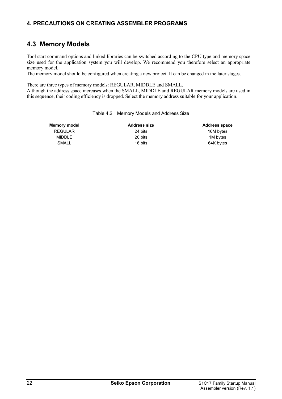## <span id="page-25-0"></span>**4.3 Memory Models**

Tool start command options and linked libraries can be switched according to the CPU type and memory space size used for the application system you will develop. We recommend you therefore select an appropriate memory model.

The memory model should be configured when creating a new project. It can be changed in the later stages.

There are three types of memory models: REGULAR, MIDDLE and SMALL.

Although the address space increases when the SMALL, MIDDLE and REGULAR memory models are used in this sequence, their coding efficiency is dropped. Select the memory address suitable for your application.

| <b>Memory model</b> | <b>Address size</b> | <b>Address space</b> |
|---------------------|---------------------|----------------------|
| <b>REGULAR</b>      | 24 bits             | 16M bytes            |
| <b>MIDDLE</b>       | 20 bits             | 1M bytes             |
| <b>SMALL</b>        | 16 bits             | 64K bytes            |

### Table 4.2 Memory Models and Address Size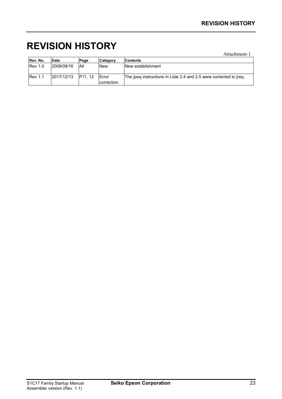## <span id="page-26-0"></span>**REVISION HISTORY**

|                |            |               |                      | Attachment-1                                                       |
|----------------|------------|---------------|----------------------|--------------------------------------------------------------------|
| Rev. No.       | Date       | Page          | Category             | <b>Contents</b>                                                    |
| <b>Rev 1.0</b> | 2008/09/16 | All           | <b>New</b>           | New establishment                                                  |
| <b>Rev 1.1</b> | 2017/12/13 | <b>P11.12</b> | Error<br>Icorrection | The ipeg instructions in Lists 2.4 and 2.5 were corrected to ireg. |